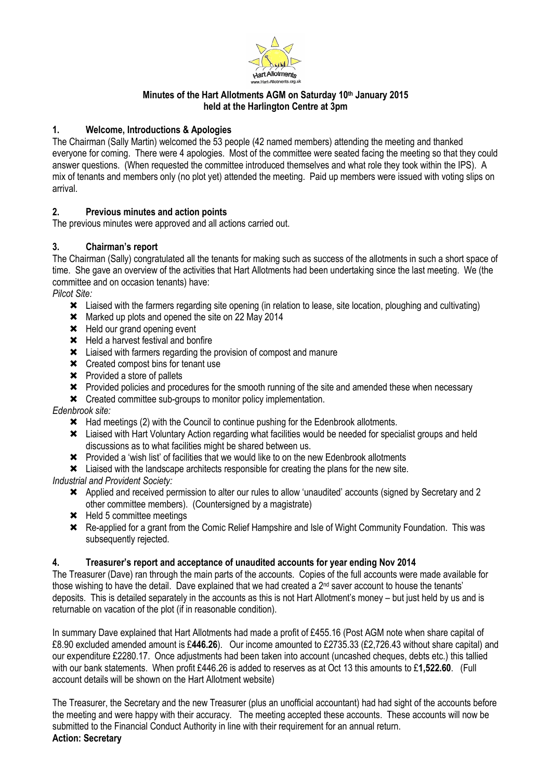

#### Minutes of the Hart Allotments AGM on Saturday 10th January 2015 held at the Harlington Centre at 3pm

## 1. Welcome, Introductions & Apologies

The Chairman (Sally Martin) welcomed the 53 people (42 named members) attending the meeting and thanked everyone for coming. There were 4 apologies. Most of the committee were seated facing the meeting so that they could answer questions. (When requested the committee introduced themselves and what role they took within the IPS). A mix of tenants and members only (no plot yet) attended the meeting. Paid up members were issued with voting slips on arrival.

## 2. Previous minutes and action points

The previous minutes were approved and all actions carried out.

## 3. Chairman's report

The Chairman (Sally) congratulated all the tenants for making such as success of the allotments in such a short space of time. She gave an overview of the activities that Hart Allotments had been undertaking since the last meeting. We (the committee and on occasion tenants) have:

Pilcot Site:

- Liaised with the farmers regarding site opening (in relation to lease, site location, ploughing and cultivating)
- **\*** Marked up plots and opened the site on 22 May 2014
- \* Held our grand opening event
- **\*** Held a harvest festival and bonfire
- Liaised with farmers regarding the provision of compost and manure
- **\*** Created compost bins for tenant use
- Provided a store of pallets
- Provided policies and procedures for the smooth running of the site and amended these when necessary
- **\*** Created committee sub-groups to monitor policy implementation.

Edenbrook site:

- \* Had meetings (2) with the Council to continue pushing for the Edenbrook allotments.
- Liaised with Hart Voluntary Action regarding what facilities would be needed for specialist groups and held discussions as to what facilities might be shared between us.
- Provided a 'wish list' of facilities that we would like to on the new Edenbrook allotments
- Liaised with the landscape architects responsible for creating the plans for the new site.

Industrial and Provident Society:

- Applied and received permission to alter our rules to allow 'unaudited' accounts (signed by Secretary and 2 other committee members). (Countersigned by a magistrate)
- \* Held 5 committee meetings
- Re-applied for a grant from the Comic Relief Hampshire and Isle of Wight Community Foundation. This was subsequently rejected.

#### 4. Treasurer's report and acceptance of unaudited accounts for year ending Nov 2014

The Treasurer (Dave) ran through the main parts of the accounts. Copies of the full accounts were made available for those wishing to have the detail. Dave explained that we had created a 2nd saver account to house the tenants' deposits. This is detailed separately in the accounts as this is not Hart Allotment's money – but just held by us and is returnable on vacation of the plot (if in reasonable condition).

In summary Dave explained that Hart Allotments had made a profit of £455.16 (Post AGM note when share capital of £8.90 excluded amended amount is £446.26). Our income amounted to £2735.33 (£2,726.43 without share capital) and our expenditure £2280.17. Once adjustments had been taken into account (uncashed cheques, debts etc.) this tallied with our bank statements. When profit £446.26 is added to reserves as at Oct 13 this amounts to £1,522.60. (Full account details will be shown on the Hart Allotment website)

The Treasurer, the Secretary and the new Treasurer (plus an unofficial accountant) had had sight of the accounts before the meeting and were happy with their accuracy. The meeting accepted these accounts. These accounts will now be submitted to the Financial Conduct Authority in line with their requirement for an annual return. Action: Secretary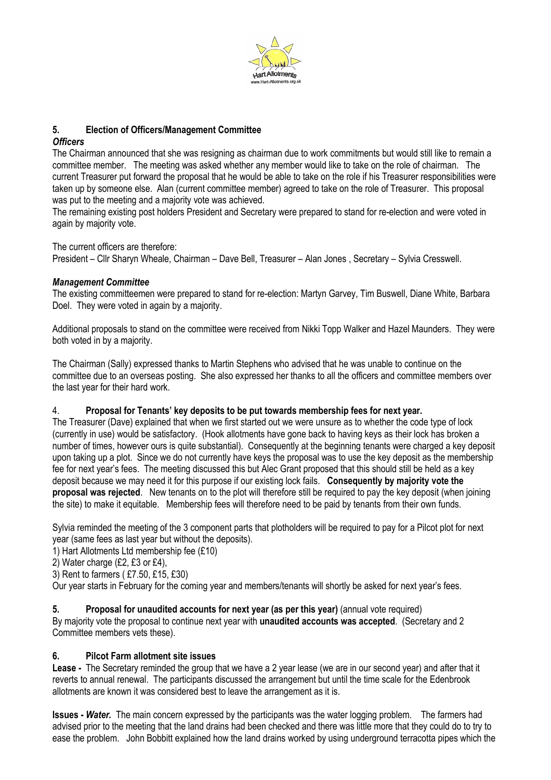

### 5. Election of Officers/Management Committee

#### **Officers**

The Chairman announced that she was resigning as chairman due to work commitments but would still like to remain a committee member. The meeting was asked whether any member would like to take on the role of chairman. The current Treasurer put forward the proposal that he would be able to take on the role if his Treasurer responsibilities were taken up by someone else. Alan (current committee member) agreed to take on the role of Treasurer. This proposal was put to the meeting and a majority vote was achieved.

The remaining existing post holders President and Secretary were prepared to stand for re-election and were voted in again by majority vote.

The current officers are therefore:

President – Cllr Sharyn Wheale, Chairman – Dave Bell, Treasurer – Alan Jones , Secretary – Sylvia Cresswell.

#### Management Committee

The existing committeemen were prepared to stand for re-election: Martyn Garvey, Tim Buswell, Diane White, Barbara Doel. They were voted in again by a majority.

Additional proposals to stand on the committee were received from Nikki Topp Walker and Hazel Maunders. They were both voted in by a majority.

The Chairman (Sally) expressed thanks to Martin Stephens who advised that he was unable to continue on the committee due to an overseas posting. She also expressed her thanks to all the officers and committee members over the last year for their hard work.

#### 4. Proposal for Tenants' key deposits to be put towards membership fees for next year.

The Treasurer (Dave) explained that when we first started out we were unsure as to whether the code type of lock (currently in use) would be satisfactory. (Hook allotments have gone back to having keys as their lock has broken a number of times, however ours is quite substantial). Consequently at the beginning tenants were charged a key deposit upon taking up a plot. Since we do not currently have keys the proposal was to use the key deposit as the membership fee for next year's fees. The meeting discussed this but Alec Grant proposed that this should still be held as a key deposit because we may need it for this purpose if our existing lock fails. Consequently by majority vote the proposal was rejected. New tenants on to the plot will therefore still be required to pay the key deposit (when joining the site) to make it equitable. Membership fees will therefore need to be paid by tenants from their own funds.

Sylvia reminded the meeting of the 3 component parts that plotholders will be required to pay for a Pilcot plot for next year (same fees as last year but without the deposits).

1) Hart Allotments Ltd membership fee (£10)

2) Water charge (£2, £3 or £4),

3) Rent to farmers ( £7.50, £15, £30)

Our year starts in February for the coming year and members/tenants will shortly be asked for next year's fees.

#### 5. Proposal for unaudited accounts for next year (as per this year) (annual vote required)

By majority vote the proposal to continue next year with unaudited accounts was accepted. (Secretary and 2 Committee members vets these).

#### 6. Pilcot Farm allotment site issues

Lease - The Secretary reminded the group that we have a 2 year lease (we are in our second year) and after that it reverts to annual renewal. The participants discussed the arrangement but until the time scale for the Edenbrook allotments are known it was considered best to leave the arrangement as it is.

**Issues - Water.** The main concern expressed by the participants was the water logging problem. The farmers had advised prior to the meeting that the land drains had been checked and there was little more that they could do to try to ease the problem. John Bobbitt explained how the land drains worked by using underground terracotta pipes which the